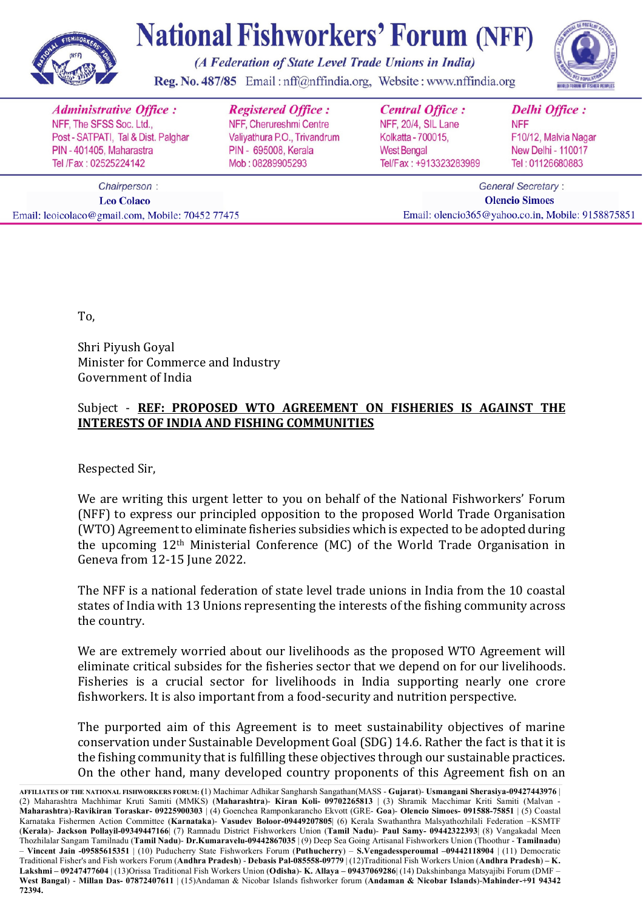

(A Federation of State Level Trade Unions in India)

Reg. No. 487/85 Email: nff@nffindia.org, Website: www.nffindia.org

|                                   | <b>Administrative Office:</b>       | <b>Registered Office:</b>    | <b>Central Office:</b>                             | <b>Delhi Office:</b>      |
|-----------------------------------|-------------------------------------|------------------------------|----------------------------------------------------|---------------------------|
|                                   | NFF, The SFSS Soc. Ltd.,            | NFF, Cherureshmi Centre      | NFF, 20/4, SIL Lane                                | <b>NFF</b>                |
|                                   | Post - SATPATI, Tal & Dist. Palghar | Valiyathura P.O., Trivandrum | Kolkatta - 700015,                                 | F10/12, Malvia Nagar      |
|                                   | PIN - 401405, Maharastra            | PIN - 695008, Kerala         | <b>West Bengal</b>                                 | <b>New Delhi - 110017</b> |
|                                   | Tel /Fax: 02525224142               | Mob: 08289905293             | Tel/Fax: +913323283989                             | Tel: 01126680883          |
| Chairperson:<br><b>Leo Colaco</b> |                                     |                              | <b>General Secretary:</b><br><b>Olencio Simoes</b> |                           |

Email: olencio365@yahoo.co.in, Mobile: 9158875851

To,

Email: leoicolaco@gmail.com, Mobile: 70452 77475

Shri Piyush Goyal Minister for Commerce and Industry Government of India

#### Subject - REF: PROPOSED WTO AGREEMENT ON FISHERIES IS AGAINST THE **INTERESTS OF INDIA AND FISHING COMMUNITIES**

Respected Sir,

We are writing this urgent letter to you on behalf of the National Fishworkers' Forum (NFF) to express our principled opposition to the proposed World Trade Organisation (WTO) Agreement to eliminate fisheries subsidies which is expected to be adopted during the upcoming 12<sup>th</sup> Ministerial Conference (MC) of the World Trade Organisation in Geneva from 12-15 June 2022.

The NFF is a national federation of state level trade unions in India from the 10 coastal states of India with 13 Unions representing the interests of the fishing community across the country.

We are extremely worried about our livelihoods as the proposed WTO Agreement will eliminate critical subsides for the fisheries sector that we depend on for our livelihoods. Fisheries is a crucial sector for livelihoods in India supporting nearly one crore fishworkers. It is also important from a food-security and nutrition perspective.

The purported aim of this Agreement is to meet sustainability objectives of marine conservation under Sustainable Development Goal (SDG) 14.6. Rather the fact is that it is the fishing community that is fulfilling these objectives through our sustainable practices. On the other hand, many developed country proponents of this Agreement fish on an

**AFFILIATES OF THE NATIONAL FISHWORKERS FORUM: (**1) Machimar Adhikar Sangharsh Sangathan(MASS - **Gujarat**)- **Usmangani Sherasiya-09427443976** | (2) Maharashtra Machhimar Kruti Samiti (MMKS) (**Maharashtra**)- **Kiran Koli- 09702265813** | (3) Shramik Macchimar Kriti Samiti (Malvan - **Maharashtra**)-**Ravikiran Toraskar- 09225900303** | (4) Goenchea Ramponkarancho Ekvott (GRE- **Goa**)- **Olencio Simoes- 091588-75851** | (5) Coastal Karnataka Fishermen Action Committee (**Karnataka**)- **Vasudev Boloor-09449207805**| (6) Kerala Swathanthra Malsyathozhilali Federation –KSMTF (**Kerala**)- **Jackson Pollayil-09349447166**| (7) Ramnadu District Fishworkers Union (**Tamil Nadu**)- **Paul Samy- 09442322393**| (8) Vangakadal Meen Thozhilalar Sangam Tamilnadu (**Tamil Nadu**)- **Dr.Kumaravelu-09442867035** | (9) Deep Sea Going Artisanal Fishworkers Union (Thoothur - **Tamilnadu**) – **Vincent Jain -09585615351** | (10) Puducherry State Fishworkers Forum (**Puthucherry**) – **S.Vengadessperoumal –09442118904** | (11) Democratic Traditional Fisher's and Fish workers Forum (**Andhra Pradesh**) - **Debasis Pal-085558-09779** | (12)Traditional Fish Workers Union (**Andhra Pradesh**) **– K. Lakshmi – 09247477604** | (13)Orissa Traditional Fish Workers Union (**Odisha**)- **K. Allaya – 09437069286**| (14) Dakshinbanga Matsyajibi Forum (DMF – **West Bangal**) - **Millan Das- 07872407611** | (15)Andaman & Nicobar Islands fishworker forum (**Andaman & Nicobar Islands**)-**Mahinder-+91 94342 72394.**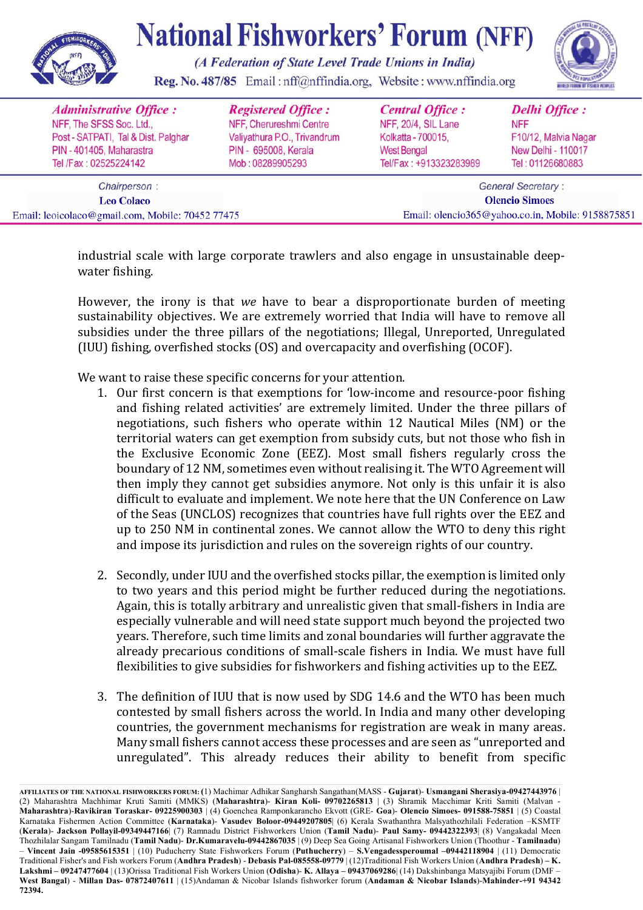

(A Federation of State Level Trade Unions in India)

Reg. No. 487/85 Email: nff@nffindia.org, Website: www.nffindia.org



industrial scale with large corporate trawlers and also engage in unsustainable deepwater fishing. 

However, the irony is that *we* have to bear a disproportionate burden of meeting sustainability objectives. We are extremely worried that India will have to remove all subsidies under the three pillars of the negotiations; Illegal, Unreported, Unregulated (IUU) fishing, overfished stocks (OS) and overcapacity and overfishing (OCOF).

We want to raise these specific concerns for your attention.

- 1. Our first concern is that exemptions for 'low-income and resource-poor fishing and fishing related activities' are extremely limited. Under the three pillars of negotiations, such fishers who operate within 12 Nautical Miles (NM) or the territorial waters can get exemption from subsidy cuts, but not those who fish in the Exclusive Economic Zone (EEZ). Most small fishers regularly cross the boundary of 12 NM, sometimes even without realising it. The WTO Agreement will then imply they cannot get subsidies anymore. Not only is this unfair it is also difficult to evaluate and implement. We note here that the UN Conference on Law of the Seas (UNCLOS) recognizes that countries have full rights over the EEZ and up to 250 NM in continental zones. We cannot allow the WTO to deny this right and impose its jurisdiction and rules on the sovereign rights of our country.
- 2. Secondly, under IUU and the overfished stocks pillar, the exemption is limited only to two years and this period might be further reduced during the negotiations. Again, this is totally arbitrary and unrealistic given that small-fishers in India are especially vulnerable and will need state support much beyond the projected two years. Therefore, such time limits and zonal boundaries will further aggravate the already precarious conditions of small-scale fishers in India. We must have full flexibilities to give subsidies for fishworkers and fishing activities up to the EEZ.
- 3. The definition of IUU that is now used by SDG 14.6 and the WTO has been much contested by small fishers across the world. In India and many other developing countries, the government mechanisms for registration are weak in many areas. Many small fishers cannot access these processes and are seen as "unreported and unregulated". This already reduces their ability to benefit from specific

**AFFILIATES OF THE NATIONAL FISHWORKERS FORUM: (**1) Machimar Adhikar Sangharsh Sangathan(MASS - **Gujarat**)- **Usmangani Sherasiya-09427443976** | (2) Maharashtra Machhimar Kruti Samiti (MMKS) (**Maharashtra**)- **Kiran Koli- 09702265813** | (3) Shramik Macchimar Kriti Samiti (Malvan - **Maharashtra**)-**Ravikiran Toraskar- 09225900303** | (4) Goenchea Ramponkarancho Ekvott (GRE- **Goa**)- **Olencio Simoes- 091588-75851** | (5) Coastal Karnataka Fishermen Action Committee (**Karnataka**)- **Vasudev Boloor-09449207805**| (6) Kerala Swathanthra Malsyathozhilali Federation –KSMTF (**Kerala**)- **Jackson Pollayil-09349447166**| (7) Ramnadu District Fishworkers Union (**Tamil Nadu**)- **Paul Samy- 09442322393**| (8) Vangakadal Meen Thozhilalar Sangam Tamilnadu (**Tamil Nadu**)- **Dr.Kumaravelu-09442867035** | (9) Deep Sea Going Artisanal Fishworkers Union (Thoothur - **Tamilnadu**) – **Vincent Jain -09585615351** | (10) Puducherry State Fishworkers Forum (**Puthucherry**) – **S.Vengadessperoumal –09442118904** | (11) Democratic Traditional Fisher's and Fish workers Forum (**Andhra Pradesh**) - **Debasis Pal-085558-09779** | (12)Traditional Fish Workers Union (**Andhra Pradesh**) **– K. Lakshmi – 09247477604** | (13)Orissa Traditional Fish Workers Union (**Odisha**)- **K. Allaya – 09437069286**| (14) Dakshinbanga Matsyajibi Forum (DMF – **West Bangal**) - **Millan Das- 07872407611** | (15)Andaman & Nicobar Islands fishworker forum (**Andaman & Nicobar Islands**)-**Mahinder-+91 94342 72394.**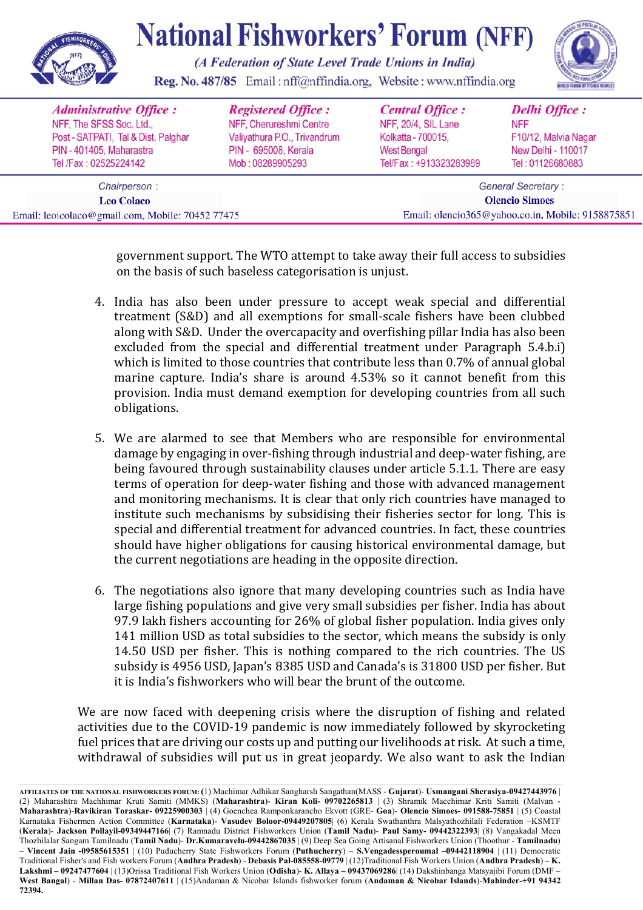

(A Federation of State Level Trade Unions in India)

Reg. No. 487/85 Email: nff@nffindia.org, Website: www.nffindia.org



government support. The WTO attempt to take away their full access to subsidies on the basis of such baseless categorisation is unjust.

- 4. India has also been under pressure to accept weak special and differential treatment (S&D) and all exemptions for small-scale fishers have been clubbed along with S&D. Under the overcapacity and overfishing pillar India has also been excluded from the special and differential treatment under Paragraph 5.4.b.i) which is limited to those countries that contribute less than 0.7% of annual global marine capture. India's share is around 4.53% so it cannot benefit from this provision. India must demand exemption for developing countries from all such obligations.
- 5. We are alarmed to see that Members who are responsible for environmental damage by engaging in over-fishing through industrial and deep-water fishing, are being favoured through sustainability clauses under article 5.1.1. There are easy terms of operation for deep-water fishing and those with advanced management and monitoring mechanisms. It is clear that only rich countries have managed to institute such mechanisms by subsidising their fisheries sector for long. This is special and differential treatment for advanced countries. In fact, these countries should have higher obligations for causing historical environmental damage, but the current negotiations are heading in the opposite direction.
- 6. The negotiations also ignore that many developing countries such as India have large fishing populations and give very small subsidies per fisher. India has about 97.9 lakh fishers accounting for  $26\%$  of global fisher population. India gives only 141 million USD as total subsidies to the sector, which means the subsidy is only 14.50 USD per fisher. This is nothing compared to the rich countries. The US subsidy is 4956 USD, Japan's 8385 USD and Canada's is 31800 USD per fisher. But it is India's fishworkers who will bear the brunt of the outcome.

We are now faced with deepening crisis where the disruption of fishing and related activities due to the COVID-19 pandemic is now immediately followed by skyrocketing fuel prices that are driving our costs up and putting our livelihoods at risk. At such a time, withdrawal of subsidies will put us in great jeopardy. We also want to ask the Indian

**AFFILIATES OF THE NATIONAL FISHWORKERS FORUM: (**1) Machimar Adhikar Sangharsh Sangathan(MASS - **Gujarat**)- **Usmangani Sherasiya-09427443976** | (2) Maharashtra Machhimar Kruti Samiti (MMKS) (**Maharashtra**)- **Kiran Koli- 09702265813** | (3) Shramik Macchimar Kriti Samiti (Malvan - **Maharashtra**)-**Ravikiran Toraskar- 09225900303** | (4) Goenchea Ramponkarancho Ekvott (GRE- **Goa**)- **Olencio Simoes- 091588-75851** | (5) Coastal Karnataka Fishermen Action Committee (**Karnataka**)- **Vasudev Boloor-09449207805**| (6) Kerala Swathanthra Malsyathozhilali Federation –KSMTF (**Kerala**)- **Jackson Pollayil-09349447166**| (7) Ramnadu District Fishworkers Union (**Tamil Nadu**)- **Paul Samy- 09442322393**| (8) Vangakadal Meen Thozhilalar Sangam Tamilnadu (**Tamil Nadu**)- **Dr.Kumaravelu-09442867035** | (9) Deep Sea Going Artisanal Fishworkers Union (Thoothur - **Tamilnadu**) – **Vincent Jain -09585615351** | (10) Puducherry State Fishworkers Forum (**Puthucherry**) – **S.Vengadessperoumal –09442118904** | (11) Democratic Traditional Fisher's and Fish workers Forum (**Andhra Pradesh**) - **Debasis Pal-085558-09779** | (12)Traditional Fish Workers Union (**Andhra Pradesh**) **– K. Lakshmi – 09247477604** | (13)Orissa Traditional Fish Workers Union (**Odisha**)- **K. Allaya – 09437069286**| (14) Dakshinbanga Matsyajibi Forum (DMF – **West Bangal**) - **Millan Das- 07872407611** | (15)Andaman & Nicobar Islands fishworker forum (**Andaman & Nicobar Islands**)-**Mahinder-+91 94342 72394.**